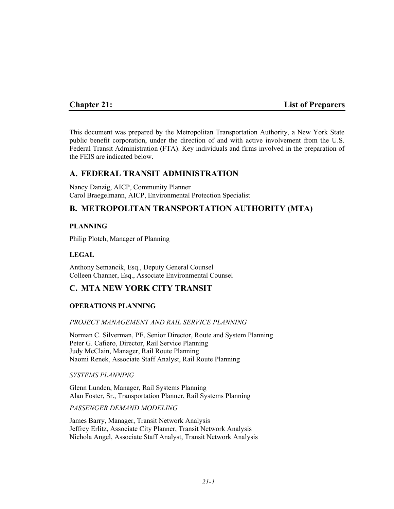## **Chapter 21: List of Preparers**

This document was prepared by the Metropolitan Transportation Authority, a New York State public benefit corporation, under the direction of and with active involvement from the U.S. Federal Transit Administration (FTA). Key individuals and firms involved in the preparation of the FEIS are indicated below.

## **A. FEDERAL TRANSIT ADMINISTRATION**

Nancy Danzig, AICP, Community Planner Carol Braegelmann, AICP, Environmental Protection Specialist

# **B. METROPOLITAN TRANSPORTATION AUTHORITY (MTA)**

## **PLANNING**

Philip Plotch, Manager of Planning

## **LEGAL**

Anthony Semancik, Esq., Deputy General Counsel Colleen Channer, Esq., Associate Environmental Counsel

# **C. MTA NEW YORK CITY TRANSIT**

#### **OPERATIONS PLANNING**

#### *PROJECT MANAGEMENT AND RAIL SERVICE PLANNING*

Norman C. Silverman, PE, Senior Director, Route and System Planning Peter G. Cafiero, Director, Rail Service Planning Judy McClain, Manager, Rail Route Planning Naomi Renek, Associate Staff Analyst, Rail Route Planning

#### *SYSTEMS PLANNING*

Glenn Lunden, Manager, Rail Systems Planning Alan Foster, Sr., Transportation Planner, Rail Systems Planning

#### *PASSENGER DEMAND MODELING*

James Barry, Manager, Transit Network Analysis Jeffrey Erlitz, Associate City Planner, Transit Network Analysis Nichola Angel, Associate Staff Analyst, Transit Network Analysis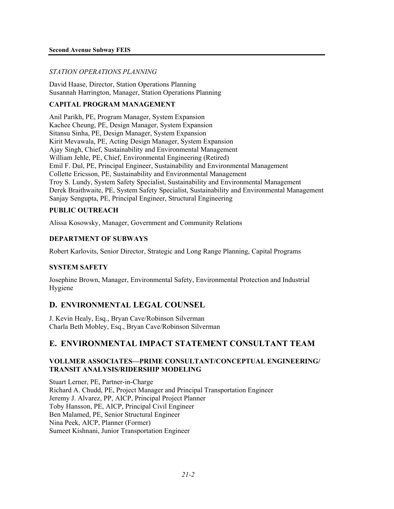## *STATION OPERATIONS PLANNING*

David Haase, Director, Station Operations Planning Susannah Harrington, Manager, Station Operations Planning

## **CAPITAL PROGRAM MANAGEMENT**

Anil Parikh, PE, Program Manager, System Expansion Kachee Cheung, PE, Design Manager, System Expansion Sitansu Sinha, PE, Design Manager, System Expansion Kirit Mevawala, PE, Acting Design Manager, System Expansion Ajay Singh, Chief, Sustainability and Environmental Management William Jehle, PE, Chief, Environmental Engineering (Retired) Emil F. Dul, PE, Principal Engineer, Sustainability and Environmental Management Collette Ericsson, PE, Sustainability and Environmental Management Troy S. Lundy, System Safety Specialist, Sustainability and Environmental Management Derek Braithwaite, PE, System Safety Specialist, Sustainability and Environmental Management Sanjay Sengupta, PE, Principal Engineer, Structural Engineering

## **PUBLIC OUTREACH**

Alissa Kosowsky, Manager, Government and Community Relations

## **DEPARTMENT OF SUBWAYS**

Robert Karlovits, Senior Director, Strategic and Long Range Planning, Capital Programs

## **SYSTEM SAFETY**

Josephine Brown, Manager, Environmental Safety, Environmental Protection and Industrial Hygiene

# **D. ENVIRONMENTAL LEGAL COUNSEL**

J. Kevin Healy, Esq., Bryan Cave/Robinson Silverman Charla Beth Mobley, Esq., Bryan Cave/Robinson Silverman

# **E. ENVIRONMENTAL IMPACT STATEMENT CONSULTANT TEAM**

## **VOLLMER ASSOCIATES—PRIME CONSULTANT/CONCEPTUAL ENGINEERING/ TRANSIT ANALYSIS/RIDERSHIP MODELING**

Stuart Lerner, PE, Partner-in-Charge Richard A. Chudd, PE, Project Manager and Principal Transportation Engineer Jeremy J. Alvarez, PP, AICP, Principal Project Planner Toby Hansson, PE, AICP, Principal Civil Engineer Ben Malamed, PE, Senior Structural Engineer Nina Peek, AICP, Planner (Former) Sumeet Kishnani, Junior Transportation Engineer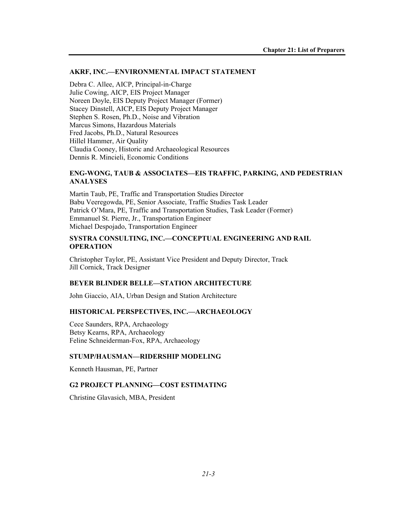#### **AKRF, INC.—ENVIRONMENTAL IMPACT STATEMENT**

Debra C. Allee, AICP, Principal-in-Charge Julie Cowing, AICP, EIS Project Manager Noreen Doyle, EIS Deputy Project Manager (Former) Stacey Dinstell, AICP, EIS Deputy Project Manager Stephen S. Rosen, Ph.D., Noise and Vibration Marcus Simons, Hazardous Materials Fred Jacobs, Ph.D., Natural Resources Hillel Hammer, Air Quality Claudia Cooney, Historic and Archaeological Resources Dennis R. Mincieli, Economic Conditions

#### **ENG-WONG, TAUB & ASSOCIATES—EIS TRAFFIC, PARKING, AND PEDESTRIAN ANALYSES**

Martin Taub, PE, Traffic and Transportation Studies Director Babu Veeregowda, PE, Senior Associate, Traffic Studies Task Leader Patrick O'Mara, PE, Traffic and Transportation Studies, Task Leader (Former) Emmanuel St. Pierre, Jr., Transportation Engineer Michael Despojado, Transportation Engineer

#### **SYSTRA CONSULTING, INC.—CONCEPTUAL ENGINEERING AND RAIL OPERATION**

Christopher Taylor, PE, Assistant Vice President and Deputy Director, Track Jill Cornick, Track Designer

#### **BEYER BLINDER BELLE—STATION ARCHITECTURE**

John Giaccio, AIA, Urban Design and Station Architecture

#### **HISTORICAL PERSPECTIVES, INC.—ARCHAEOLOGY**

Cece Saunders, RPA, Archaeology Betsy Kearns, RPA, Archaeology Feline Schneiderman-Fox, RPA, Archaeology

#### **STUMP/HAUSMAN—RIDERSHIP MODELING**

Kenneth Hausman, PE, Partner

#### **G2 PROJECT PLANNING—COST ESTIMATING**

Christine Glavasich, MBA, President